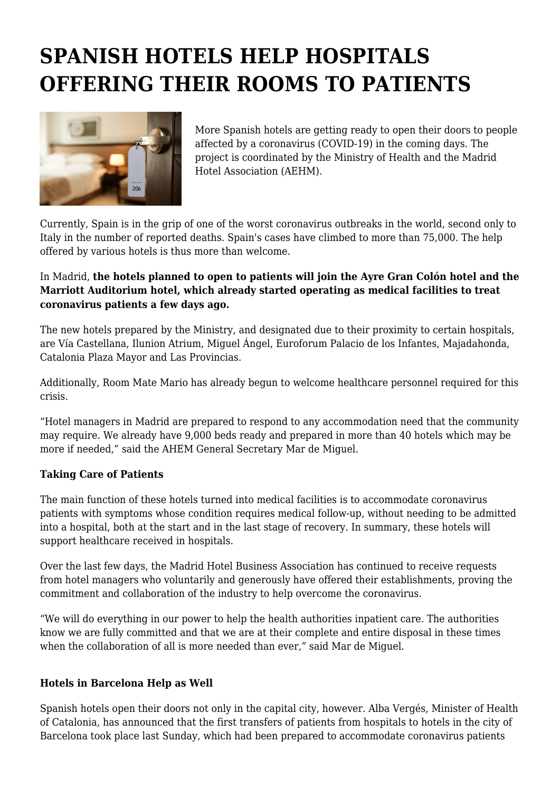## **SPANISH HOTELS HELP HOSPITALS OFFERING THEIR ROOMS TO PATIENTS**



More Spanish hotels are getting ready to open their doors to people affected by a coronavirus (COVID-19) in the coming days. The project is coordinated by the Ministry of Health and the Madrid Hotel Association (AEHM).

Currently, Spain is in the grip of one of the worst coronavirus outbreaks in the world, second only to Italy in the number of reported deaths. Spain's cases have climbed to more than 75,000. The help offered by various hotels is thus more than welcome.

## In Madrid, **the hotels planned to open to patients will join the Ayre Gran Colón hotel and the Marriott Auditorium hotel, which already started operating as medical facilities to treat coronavirus patients a few days ago.**

The new hotels prepared by the Ministry, and designated due to their proximity to certain hospitals, are Vía Castellana, Ilunion Atrium, Miguel Ángel, Euroforum Palacio de los Infantes, Majadahonda, Catalonia Plaza Mayor and Las Provincias.

Additionally, Room Mate Mario has already begun to welcome healthcare personnel required for this crisis.

"Hotel managers in Madrid are prepared to respond to any accommodation need that the community may require. We already have 9,000 beds ready and prepared in more than 40 hotels which may be more if needed," said the AHEM General Secretary Mar de Miguel.

## **Taking Care of Patients**

The main function of these hotels turned into medical facilities is to accommodate coronavirus patients with symptoms whose condition requires medical follow-up, without needing to be admitted into a hospital, both at the start and in the last stage of recovery. In summary, these hotels will support healthcare received in hospitals.

Over the last few days, the Madrid Hotel Business Association has continued to receive requests from hotel managers who voluntarily and generously have offered their establishments, proving the commitment and collaboration of the industry to help overcome the coronavirus.

"We will do everything in our power to help the health authorities inpatient care. The authorities know we are fully committed and that we are at their complete and entire disposal in these times when the collaboration of all is more needed than ever," said Mar de Miguel.

## **Hotels in Barcelona Help as Well**

Spanish hotels open their doors not only in the capital city, however. Alba Vergés, Minister of Health of Catalonia, has announced that the first transfers of patients from hospitals to hotels in the city of Barcelona took place last Sunday, which had been prepared to accommodate coronavirus patients